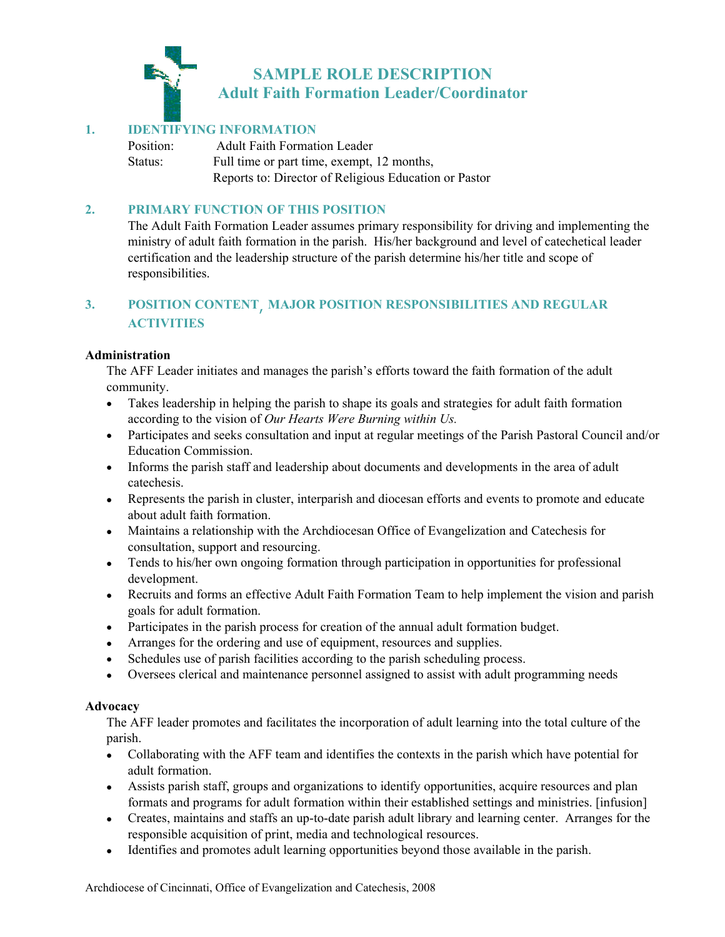

## **1. IDENTIFYING INFORMATION**

Position: Adult Faith Formation Leader Status: Full time or part time, exempt, 12 months, Reports to: Director of Religious Education or Pastor

### **2. PRIMARY FUNCTION OF THIS POSITION**

 The Adult Faith Formation Leader assumes primary responsibility for driving and implementing the ministry of adult faith formation in the parish. His/her background and level of catechetical leader certification and the leadership structure of the parish determine his/her title and scope of responsibilities.

# **3. POSITION CONTENT**, **MAJOR POSITION RESPONSIBILITIES AND REGULAR ACTIVITIES**

### **Administration**

The AFF Leader initiates and manages the parish's efforts toward the faith formation of the adult community.

- Takes leadership in helping the parish to shape its goals and strategies for adult faith formation according to the vision of *Our Hearts Were Burning within Us.*
- Participates and seeks consultation and input at regular meetings of the Parish Pastoral Council and/or Education Commission.
- Informs the parish staff and leadership about documents and developments in the area of adult catechesis.
- Represents the parish in cluster, interparish and diocesan efforts and events to promote and educate about adult faith formation.
- Maintains a relationship with the Archdiocesan Office of Evangelization and Catechesis for consultation, support and resourcing.
- Tends to his/her own ongoing formation through participation in opportunities for professional development.
- Recruits and forms an effective Adult Faith Formation Team to help implement the vision and parish goals for adult formation.
- Participates in the parish process for creation of the annual adult formation budget.
- Arranges for the ordering and use of equipment, resources and supplies.
- Schedules use of parish facilities according to the parish scheduling process.
- Oversees clerical and maintenance personnel assigned to assist with adult programming needs

### **Advocacy**

The AFF leader promotes and facilitates the incorporation of adult learning into the total culture of the parish.

- Collaborating with the AFF team and identifies the contexts in the parish which have potential for adult formation.
- Assists parish staff, groups and organizations to identify opportunities, acquire resources and plan formats and programs for adult formation within their established settings and ministries. [infusion]
- Creates, maintains and staffs an up-to-date parish adult library and learning center. Arranges for the responsible acquisition of print, media and technological resources.
- Identifies and promotes adult learning opportunities beyond those available in the parish.